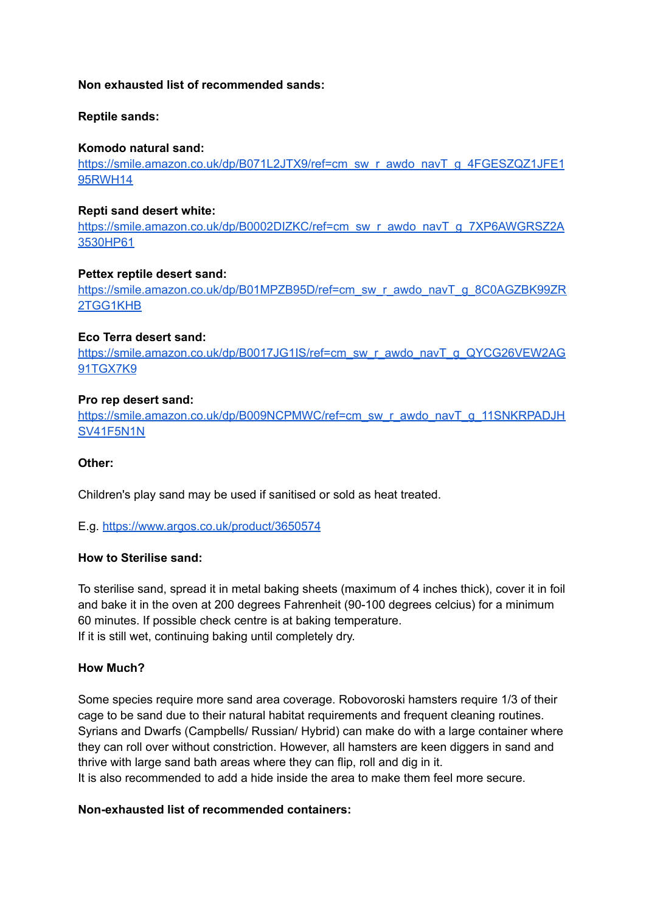### **Non exhausted list of recommended sands:**

# **Reptile sands:**

# **Komodo natural sand:**

[https://smile.amazon.co.uk/dp/B071L2JTX9/ref=cm\\_sw\\_r\\_awdo\\_navT\\_g\\_4FGESZQZ1JFE1](https://smile.amazon.co.uk/dp/B071L2JTX9/ref=cm_sw_r_awdo_navT_g_4FGESZQZ1JFE195RWH14) [95RWH14](https://smile.amazon.co.uk/dp/B071L2JTX9/ref=cm_sw_r_awdo_navT_g_4FGESZQZ1JFE195RWH14)

### **Repti sand desert white:**

[https://smile.amazon.co.uk/dp/B0002DIZKC/ref=cm\\_sw\\_r\\_awdo\\_navT\\_g\\_7XP6AWGRSZ2A](https://smile.amazon.co.uk/dp/B0002DIZKC/ref=cm_sw_r_awdo_navT_g_7XP6AWGRSZ2A3530HP61) [3530HP61](https://smile.amazon.co.uk/dp/B0002DIZKC/ref=cm_sw_r_awdo_navT_g_7XP6AWGRSZ2A3530HP61)

# **Pettex reptile desert sand:**

[https://smile.amazon.co.uk/dp/B01MPZB95D/ref=cm\\_sw\\_r\\_awdo\\_navT\\_g\\_8C0AGZBK99ZR](https://smile.amazon.co.uk/dp/B01MPZB95D/ref=cm_sw_r_awdo_navT_g_8C0AGZBK99ZR2TGG1KHB) [2TGG1KHB](https://smile.amazon.co.uk/dp/B01MPZB95D/ref=cm_sw_r_awdo_navT_g_8C0AGZBK99ZR2TGG1KHB)

# **Eco Terra desert sand:**

[https://smile.amazon.co.uk/dp/B0017JG1IS/ref=cm\\_sw\\_r\\_awdo\\_navT\\_g\\_QYCG26VEW2AG](https://smile.amazon.co.uk/dp/B0017JG1IS/ref=cm_sw_r_awdo_navT_g_QYCG26VEW2AG91TGX7K9) [91TGX7K9](https://smile.amazon.co.uk/dp/B0017JG1IS/ref=cm_sw_r_awdo_navT_g_QYCG26VEW2AG91TGX7K9)

# **Pro rep desert sand:**

[https://smile.amazon.co.uk/dp/B009NCPMWC/ref=cm\\_sw\\_r\\_awdo\\_navT\\_g\\_11SNKRPADJH](https://smile.amazon.co.uk/dp/B009NCPMWC/ref=cm_sw_r_awdo_navT_g_11SNKRPADJHSV41F5N1N) [SV41F5N1N](https://smile.amazon.co.uk/dp/B009NCPMWC/ref=cm_sw_r_awdo_navT_g_11SNKRPADJHSV41F5N1N)

### **Other:**

Children's play sand may be used if sanitised or sold as heat treated.

### E.g. <https://www.argos.co.uk/product/3650574>

### **How to Sterilise sand:**

To sterilise sand, spread it in metal baking sheets (maximum of 4 inches thick), cover it in foil and bake it in the oven at 200 degrees Fahrenheit (90-100 degrees celcius) for a minimum 60 minutes. If possible check centre is at baking temperature. If it is still wet, continuing baking until completely dry.

### **How Much?**

Some species require more sand area coverage. Robovoroski hamsters require 1/3 of their cage to be sand due to their natural habitat requirements and frequent cleaning routines. Syrians and Dwarfs (Campbells/ Russian/ Hybrid) can make do with a large container where they can roll over without constriction. However, all hamsters are keen diggers in sand and thrive with large sand bath areas where they can flip, roll and dig in it. It is also recommended to add a hide inside the area to make them feel more secure.

### **Non-exhausted list of recommended containers:**